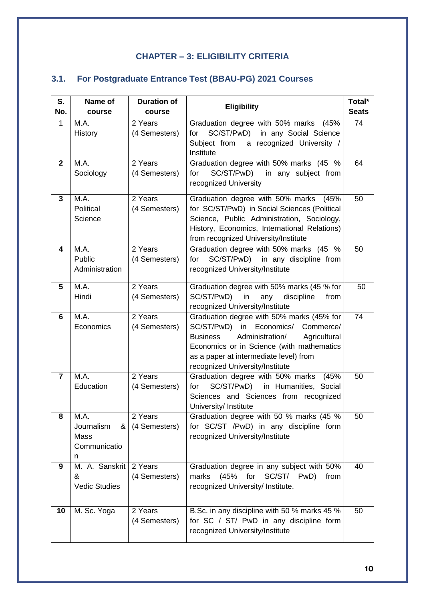## **CHAPTER – 3: ELIGIBILITY CRITERIA**

## **3.1. For Postgraduate Entrance Test (BBAU-PG) 2021 Courses**

| S.<br>No.      | Name of<br>course                                    | <b>Duration of</b><br>course | <b>Eligibility</b>                                                                                                                                                                                                                                                       | Total*<br><b>Seats</b> |
|----------------|------------------------------------------------------|------------------------------|--------------------------------------------------------------------------------------------------------------------------------------------------------------------------------------------------------------------------------------------------------------------------|------------------------|
| $\mathbf{1}$   | M.A.<br>History                                      | 2 Years<br>(4 Semesters)     | Graduation degree with 50% marks (45%<br>SC/ST/PwD) in any Social Science<br>for<br>Subject from a recognized University /<br>Institute                                                                                                                                  | 74                     |
| $\mathbf{2}$   | M.A.<br>Sociology                                    | 2 Years<br>(4 Semesters)     | Graduation degree with 50% marks (45 %<br>SC/ST/PwD)<br>for<br>in any subject from<br>recognized University                                                                                                                                                              | 64                     |
| 3              | M.A.<br>Political<br>Science                         | 2 Years<br>(4 Semesters)     | Graduation degree with 50% marks (45%<br>for SC/ST/PwD) in Social Sciences (Political<br>Science, Public Administration, Sociology,<br>History, Economics, International Relations)<br>from recognized University/Institute                                              | 50                     |
| 4              | M.A.<br>Public<br>Administration                     | 2 Years<br>(4 Semesters)     | Graduation degree with 50% marks (45 %<br>SC/ST/PwD) in any discipline from<br>for<br>recognized University/Institute                                                                                                                                                    | 50                     |
| 5              | M.A.<br>Hindi                                        | 2 Years<br>(4 Semesters)     | Graduation degree with 50% marks (45 % for<br>SC/ST/PwD)<br>in<br>any<br>discipline<br>from<br>recognized University/Institute                                                                                                                                           | 50                     |
| 6              | M.A.<br>Economics                                    | 2 Years<br>(4 Semesters)     | Graduation degree with 50% marks (45% for<br>Economics/<br>SC/ST/PwD)<br>in<br>Commerce/<br><b>Business</b><br>Administration/<br>Agricultural<br>Economics or in Science (with mathematics<br>as a paper at intermediate level) from<br>recognized University/Institute | 74                     |
| $\overline{7}$ | M.A.<br>Education                                    | 2 Years<br>(4 Semesters)     | Graduation degree with 50% marks<br>(45%<br>SC/ST/PwD)<br>in Humanities, Social<br>for<br>Sciences and Sciences from recognized<br>University/ Institute                                                                                                                 | 50                     |
| 8              | M.A.<br>Journalism<br>&<br>Mass<br>Communicatio<br>n | 2 Years<br>(4 Semesters)     | Graduation degree with 50 % marks (45 %<br>for SC/ST /PwD) in any discipline form<br>recognized University/Institute                                                                                                                                                     | 50                     |
| 9              | M. A. Sanskrit<br>&<br><b>Vedic Studies</b>          | 2 Years<br>(4 Semesters)     | Graduation degree in any subject with 50%<br>marks<br>(45%<br>for<br>SC/ST/<br>PwD)<br>from<br>recognized University/ Institute.                                                                                                                                         | 40                     |
| 10             | M. Sc. Yoga                                          | 2 Years<br>(4 Semesters)     | B.Sc. in any discipline with 50 % marks 45 %<br>for SC / ST/ PwD in any discipline form<br>recognized University/Institute                                                                                                                                               | 50                     |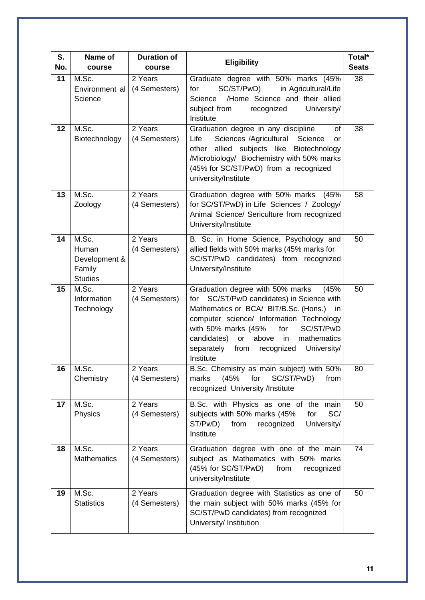| S.<br>No. | Name of<br>course                                           | <b>Duration of</b><br>course | <b>Eligibility</b>                                                                                                                                                                                                                                                                                                                    | Total*<br><b>Seats</b> |
|-----------|-------------------------------------------------------------|------------------------------|---------------------------------------------------------------------------------------------------------------------------------------------------------------------------------------------------------------------------------------------------------------------------------------------------------------------------------------|------------------------|
| 11        | M.Sc.<br>Environment al<br>Science                          | 2 Years<br>(4 Semesters)     | Graduate degree with 50% marks (45%<br>SC/ST/PwD)<br>in Agricultural/Life<br>for<br>/Home Science and their allied<br>Science<br>subject from<br>recognized<br>University/<br>Institute                                                                                                                                               | 38                     |
| 12        | M.Sc.<br>Biotechnology                                      | 2 Years<br>(4 Semesters)     | Graduation degree in any discipline<br>of<br>Sciences /Agricultural<br>Science<br>Life<br>or<br>allied<br>subjects like Biotechnology<br>other<br>/Microbiology/ Biochemistry with 50% marks<br>(45% for SC/ST/PwD) from a recognized<br>university/Institute                                                                         | 38                     |
| 13        | M.Sc.<br>Zoology                                            | 2 Years<br>(4 Semesters)     | Graduation degree with 50% marks (45%<br>for SC/ST/PwD) in Life Sciences / Zoology/<br>Animal Science/ Sericulture from recognized<br>University/Institute                                                                                                                                                                            | 58                     |
| 14        | M.Sc.<br>Human<br>Development &<br>Family<br><b>Studies</b> | 2 Years<br>(4 Semesters)     | B. Sc. in Home Science, Psychology and<br>allied fields with 50% marks (45% marks for<br>SC/ST/PwD candidates) from recognized<br>University/Institute                                                                                                                                                                                | 50                     |
| 15        | M.Sc.<br>Information<br>Technology                          | 2 Years<br>(4 Semesters)     | Graduation degree with 50% marks<br>(45%<br>SC/ST/PwD candidates) in Science with<br>for<br>Mathematics or BCA/ BIT/B.Sc. (Hons.) in<br>computer science/ Information Technology<br>with 50% marks (45%<br>for<br>SC/ST/PwD<br>candidates)<br>or above in<br>mathematics<br>University/<br>separately<br>from recognized<br>Institute | 50                     |
| 16        | M.Sc.<br>Chemistry                                          | 2 Years<br>(4 Semesters)     | B.Sc. Chemistry as main subject) with 50%<br>SC/ST/PwD)<br>(45%<br>for<br>from<br>marks<br>recognized University /Institute                                                                                                                                                                                                           | 80                     |
| 17        | M.Sc.<br>Physics                                            | 2 Years<br>(4 Semesters)     | B.Sc. with Physics as one of the main<br>subjects with 50% marks (45%<br>SC/<br>for<br>ST/PwD)<br>from<br>recognized<br>University/<br>Institute                                                                                                                                                                                      | 50                     |
| 18        | M.Sc.<br><b>Mathematics</b>                                 | 2 Years<br>(4 Semesters)     | Graduation degree with one of the main<br>subject as Mathematics with 50% marks<br>(45% for SC/ST/PwD)<br>from<br>recognized<br>university/Institute                                                                                                                                                                                  | 74                     |
| 19        | M.Sc.<br><b>Statistics</b>                                  | 2 Years<br>(4 Semesters)     | Graduation degree with Statistics as one of<br>the main subject with 50% marks (45% for<br>SC/ST/PwD candidates) from recognized<br>University/ Institution                                                                                                                                                                           | 50                     |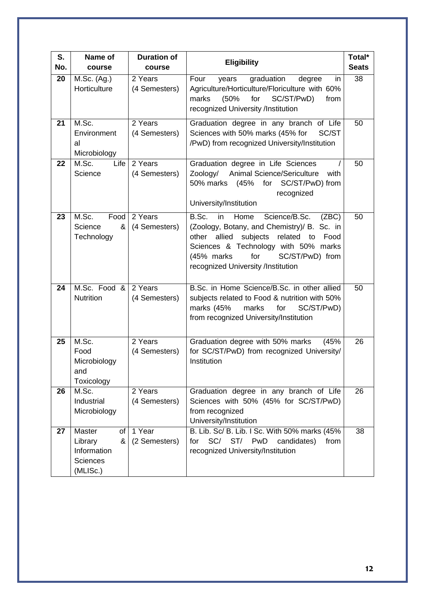| S.<br>No. | Name of<br>course                                                          | <b>Duration of</b><br>course | <b>Eligibility</b>                                                                                                                                                                                                                                                    | Total*<br><b>Seats</b> |
|-----------|----------------------------------------------------------------------------|------------------------------|-----------------------------------------------------------------------------------------------------------------------------------------------------------------------------------------------------------------------------------------------------------------------|------------------------|
| 20        | M.Sc. (Ag.)<br>Horticulture                                                | 2 Years<br>(4 Semesters)     | graduation<br>Four<br>degree<br>years<br>in<br>Agriculture/Horticulture/Floriculture with 60%<br>(50%<br>for<br>SC/ST/PwD)<br>marks<br>from<br>recognized University /Institution                                                                                     | 38                     |
| 21        | M.Sc.<br>Environment<br>al<br>Microbiology                                 | 2 Years<br>(4 Semesters)     | Graduation degree in any branch of Life<br>Sciences with 50% marks (45% for<br>SC/ST<br>/PwD) from recognized University/Institution                                                                                                                                  | 50                     |
| 22        | M.Sc.<br>Life<br>Science                                                   | 2 Years<br>(4 Semesters)     | Graduation degree in Life Sciences<br>Animal Science/Sericulture<br>Zoology/<br>with<br>50% marks (45% for SC/ST/PwD) from<br>recognized<br>University/Institution                                                                                                    | 50                     |
| 23        | M.Sc.<br>Food<br>&<br>Science<br>Technology                                | 2 Years<br>(4 Semesters)     | B.Sc.<br>in<br>Home<br>Science/B.Sc.<br>(ZBC)<br>(Zoology, Botany, and Chemistry)/ B. Sc. in<br>allied subjects<br>related to<br>other<br>Food<br>Sciences & Technology with 50% marks<br>for<br>SC/ST/PwD) from<br>(45% marks)<br>recognized University /Institution | 50                     |
| 24        | M.Sc. Food &<br>Nutrition                                                  | 2 Years<br>(4 Semesters)     | B.Sc. in Home Science/B.Sc. in other allied<br>subjects related to Food & nutrition with 50%<br>marks (45%<br>marks<br>SC/ST/PwD)<br>for<br>from recognized University/Institution                                                                                    | 50                     |
| 25        | M.Sc.<br>Food<br>Microbiology<br>and<br>Toxicology                         | 2 Years<br>(4 Semesters)     | Graduation degree with 50% marks<br>(45%<br>for SC/ST/PwD) from recognized University/<br>Institution                                                                                                                                                                 | 26                     |
| 26        | M.Sc.<br>Industrial<br>Microbiology                                        | 2 Years<br>(4 Semesters)     | Graduation degree in any branch of Life<br>Sciences with 50% (45% for SC/ST/PwD)<br>from recognized<br>University/Institution                                                                                                                                         | 26                     |
| 27        | Master<br>of<br>Library<br>&<br>Information<br><b>Sciences</b><br>(MLISc.) | 1 Year<br>(2 Semesters)      | B. Lib. Sc/ B. Lib. I Sc. With 50% marks (45%<br>SC/<br>ST/<br>for<br>PwD<br>candidates)<br>from<br>recognized University/Institution                                                                                                                                 | 38                     |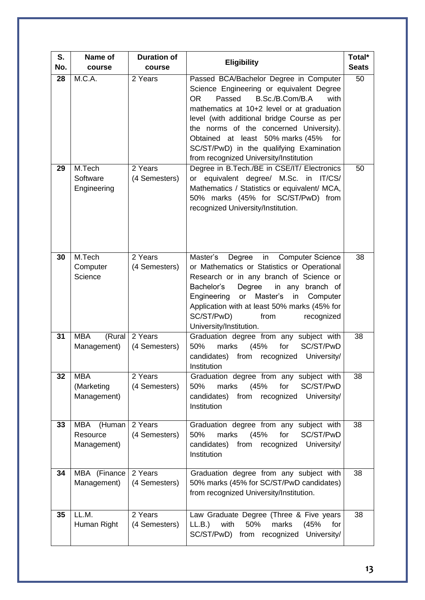| S.<br>No. | Name of<br>course                        | <b>Duration of</b><br>course | <b>Eligibility</b>                                                                                                                                                                                                                                                                                                                                                                                     | Total*<br><b>Seats</b> |
|-----------|------------------------------------------|------------------------------|--------------------------------------------------------------------------------------------------------------------------------------------------------------------------------------------------------------------------------------------------------------------------------------------------------------------------------------------------------------------------------------------------------|------------------------|
| 28        | M.C.A.                                   | 2 Years                      | Passed BCA/Bachelor Degree in Computer<br>Science Engineering or equivalent Degree<br>B.Sc./B.Com/B.A<br>OR<br>Passed<br>with<br>mathematics at 10+2 level or at graduation<br>level (with additional bridge Course as per<br>the norms of the concerned University).<br>Obtained at least 50% marks (45%<br>for<br>SC/ST/PwD) in the qualifying Examination<br>from recognized University/Institution | 50                     |
| 29        | M.Tech<br>Software<br>Engineering        | 2 Years<br>(4 Semesters)     | Degree in B.Tech./BE in CSE/IT/ Electronics<br>or equivalent degree/ M.Sc.<br>in<br>IT/CS/<br>Mathematics / Statistics or equivalent/ MCA,<br>50% marks (45% for SC/ST/PwD) from<br>recognized University/Institution.                                                                                                                                                                                 | 50                     |
| 30        | M.Tech<br>Computer<br>Science            | 2 Years<br>(4 Semesters)     | Master's<br>in<br>Degree<br><b>Computer Science</b><br>or Mathematics or Statistics or Operational<br>Research or in any branch of Science or<br>Degree<br>Bachelor's<br>in any branch of<br>Master's<br>Engineering<br>or<br>in<br>Computer<br>Application with at least 50% marks (45% for<br>SC/ST/PwD)<br>from<br>recognized<br>University/Institution.                                            | 38                     |
| 31        | <b>MBA</b><br>(Rural<br>Management)      | 2 Years<br>(4 Semesters)     | Graduation degree from any subject with<br>(45%<br>for<br>SC/ST/PwD<br>50%<br>marks<br>candidates) from<br>recognized<br>University/<br>Institution                                                                                                                                                                                                                                                    | 38                     |
| 32        | <b>MBA</b><br>(Marketing<br>Management)  | 2 Years<br>(4 Semesters)     | Graduation degree from any subject with<br>marks<br>(45%<br>for<br>SC/ST/PwD<br>50%<br>candidates) from recognized<br>University/<br>Institution                                                                                                                                                                                                                                                       | 38                     |
| 33        | (Human<br>MBA<br>Resource<br>Management) | 2 Years<br>(4 Semesters)     | Graduation degree from any subject with<br>marks<br>for<br>SC/ST/PwD<br>50%<br>(45%<br>candidates) from recognized<br>University/<br>Institution                                                                                                                                                                                                                                                       | 38                     |
| 34        | MBA (Finance<br>Management)              | 2 Years<br>(4 Semesters)     | Graduation degree from any subject with<br>50% marks (45% for SC/ST/PwD candidates)<br>from recognized University/Institution.                                                                                                                                                                                                                                                                         | 38                     |
| 35        | LL.M.<br>Human Right                     | 2 Years<br>(4 Semesters)     | Law Graduate Degree (Three & Five years<br>with<br>50%<br>marks<br>(45%<br>LL.B.)<br>for<br>SC/ST/PwD) from recognized University/                                                                                                                                                                                                                                                                     | 38                     |